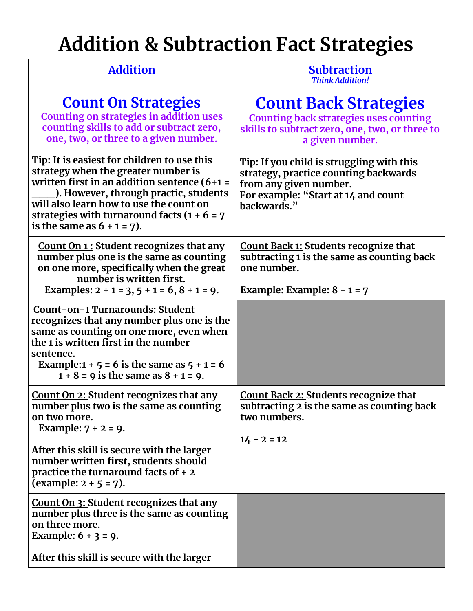## **Addition & Subtraction Fact Strategies**

| <b>Addition</b>                                                                                                                                                                                                                                                                                            | <b>Subtraction</b><br><b>Think Addition!</b>                                                                                                                       |
|------------------------------------------------------------------------------------------------------------------------------------------------------------------------------------------------------------------------------------------------------------------------------------------------------------|--------------------------------------------------------------------------------------------------------------------------------------------------------------------|
| <b>Count On Strategies</b><br><b>Counting on strategies in addition uses</b><br>counting skills to add or subtract zero,<br>one, two, or three to a given number.                                                                                                                                          | <b>Count Back Strategies</b><br><b>Counting back strategies uses counting</b><br>skills to subtract zero, one, two, or three to<br>a given number.                 |
| Tip: It is easiest for children to use this<br>strategy when the greater number is<br>written first in an addition sentence $(6+1=$<br>). However, through practic, students<br>will also learn how to use the count on<br>strategies with turnaround facts $(1 + 6 = 7)$<br>is the same as $6 + 1 = 7$ ). | Tip: If you child is struggling with this<br>strategy, practice counting backwards<br>from any given number.<br>For example: "Start at 14 and count<br>backwards." |
| <b>Count On 1: Student recognizes that any</b><br>number plus one is the same as counting<br>on one more, specifically when the great<br>number is written first.<br>Examples: $2 + 1 = 3$ , $5 + 1 = 6$ , $8 + 1 = 9$ .                                                                                   | <b>Count Back 1: Students recognize that</b><br>subtracting 1 is the same as counting back<br>one number.<br>Example: Example: $8 - 1 = 7$                         |
| Count-on-1 Turnarounds: Student<br>recognizes that any number plus one is the<br>same as counting on one more, even when<br>the 1 is written first in the number<br>sentence.<br>Example: $1 + 5 = 6$ is the same as $5 + 1 = 6$<br>$1 + 8 = 9$ is the same as $8 + 1 = 9$ .                               |                                                                                                                                                                    |
| <b>Count On 2: Student recognizes that any</b><br>number plus two is the same as counting<br>on two more.<br>Example: $7 + 2 = 9$ .                                                                                                                                                                        | <b>Count Back 2: Students recognize that</b><br>subtracting 2 is the same as counting back<br>two numbers.                                                         |
| After this skill is secure with the larger<br>number written first, students should<br>practice the turnaround facts of $+2$<br>(example: $2 + 5 = 7$ ).                                                                                                                                                   | $14 - 2 = 12$                                                                                                                                                      |
| Count On 3: Student recognizes that any<br>number plus three is the same as counting<br>on three more.<br>Example: $6 + 3 = 9$ .                                                                                                                                                                           |                                                                                                                                                                    |
| After this skill is secure with the larger                                                                                                                                                                                                                                                                 |                                                                                                                                                                    |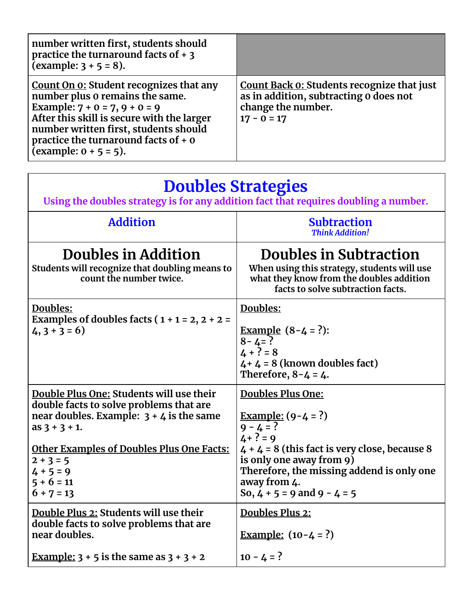| number written first, students should<br>practice the turnaround facts of $+3$<br>(example: $3 + 5 = 8$ ).                                                                                                                                                                        |                                                                                                                                    |
|-----------------------------------------------------------------------------------------------------------------------------------------------------------------------------------------------------------------------------------------------------------------------------------|------------------------------------------------------------------------------------------------------------------------------------|
| <b>Count On 0: Student recognizes that any</b><br>number plus 0 remains the same.<br>Example: $7 + 0 = 7, 9 + 0 = 9$<br>After this skill is secure with the larger<br>number written first, students should<br>practice the turnaround facts of $+$ 0<br>(example: $0 + 5 = 5$ ). | <b>Count Back 0: Students recognize that just</b><br>as in addition, subtracting o does not<br>change the number.<br>$17 - 0 = 17$ |

| <b>Doubles Strategies</b><br>Using the doubles strategy is for any addition fact that requires doubling a number.                                                                                                                                                      |                                                                                                                                                                                                                                                                      |
|------------------------------------------------------------------------------------------------------------------------------------------------------------------------------------------------------------------------------------------------------------------------|----------------------------------------------------------------------------------------------------------------------------------------------------------------------------------------------------------------------------------------------------------------------|
| <b>Addition</b>                                                                                                                                                                                                                                                        | <b>Subtraction</b><br><b>Think Addition!</b>                                                                                                                                                                                                                         |
| Doubles in Addition<br>Students will recognize that doubling means to<br>count the number twice.                                                                                                                                                                       | Doubles in Subtraction<br>When using this strategy, students will use<br>what they know from the doubles addition<br>facts to solve subtraction facts.                                                                                                               |
| Doubles:<br>Examples of doubles facts ( $1 + 1 = 2$ , $2 + 2 =$<br>$4, 3 + 3 = 6$                                                                                                                                                                                      | Doubles:<br><b>Example</b> $(8-4 = ?):$<br>$8 - 4 = ?$<br>$4 + ? = 8$<br>$4 + 4 = 8$ (known doubles fact)<br>Therefore, $8 - 4 = 4$ .                                                                                                                                |
| Double Plus One: Students will use their<br>double facts to solve problems that are<br>near doubles. Example: $3 + 4$ is the same<br>$as 3 + 3 + 1.$<br><b>Other Examples of Doubles Plus One Facts:</b><br>$2 + 3 = 5$<br>$4 + 5 = 9$<br>$5 + 6 = 11$<br>$6 + 7 = 13$ | <b>Doubles Plus One:</b><br><u>Example:</u> $(9-4 = ?)$<br>$9 - 4 = ?$<br>$4 + ? = 9$<br>$4 + 4 = 8$ (this fact is very close, because 8<br>is only one away from 9)<br>Therefore, the missing addend is only one<br>away from 4.<br>So, $4 + 5 = 9$ and $9 - 4 = 5$ |
| Double Plus 2: Students will use their<br>double facts to solve problems that are<br>near doubles.                                                                                                                                                                     | <b>Doubles Plus 2:</b><br><u>Example:</u> $(10-4=?)$                                                                                                                                                                                                                 |
| Example: $3 + 5$ is the same as $3 + 3 + 2$                                                                                                                                                                                                                            | $10 - 4 = ?$                                                                                                                                                                                                                                                         |